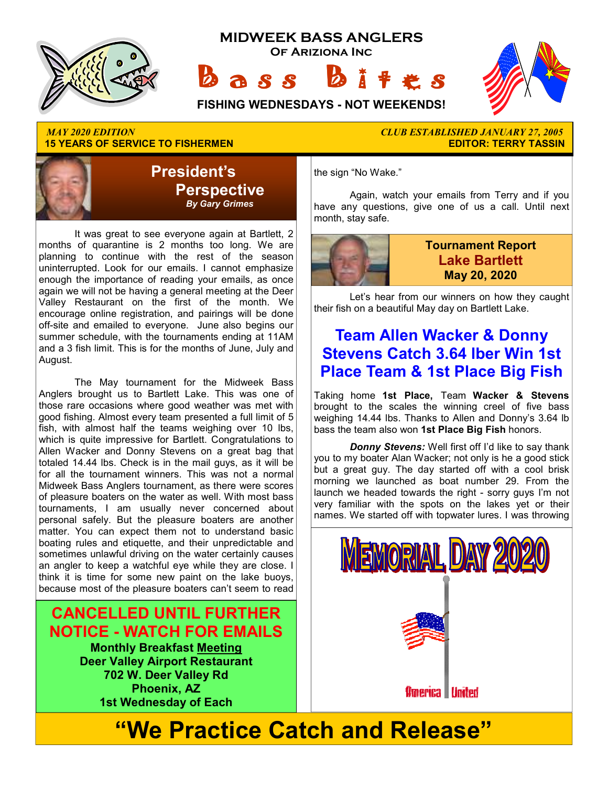

## **15 YEARS OF SERVICE TO FISHERMEN**



 It was great to see everyone again at Bartlett, 2 months of quarantine is 2 months too long. We are planning to continue with the rest of the season uninterrupted. Look for our emails. I cannot emphasize enough the importance of reading your emails, as once again we will not be having a general meeting at the Deer Valley Restaurant on the first of the month. We encourage online registration, and pairings will be done off-site and emailed to everyone. June also begins our summer schedule, with the tournaments ending at 11AM and a 3 fish limit. This is for the months of June, July and August.

 The May tournament for the Midweek Bass Anglers brought us to Bartlett Lake. This was one of those rare occasions where good weather was met with good fishing. Almost every team presented a full limit of 5 fish, with almost half the teams weighing over 10 lbs, which is quite impressive for Bartlett. Congratulations to Allen Wacker and Donny Stevens on a great bag that totaled 14.44 lbs. Check is in the mail guys, as it will be for all the tournament winners. This was not a normal Midweek Bass Anglers tournament, as there were scores of pleasure boaters on the water as well. With most bass tournaments, I am usually never concerned about personal safely. But the pleasure boaters are another matter. You can expect them not to understand basic boating rules and etiquette, and their unpredictable and sometimes unlawful driving on the water certainly causes an angler to keep a watchful eye while they are close. I think it is time for some new paint on the lake buoys, because most of the pleasure boaters can't seem to read

**CANCELLED UNTIL FURTHER NOTICE - WATCH FOR EMAILS Monthly Breakfast Meeting Deer Valley Airport Restaurant 702 W. Deer Valley Rd Phoenix, AZ 1st Wednesday of Each** 

*MAY 2020 EDITION CLUB ESTABLISHED JANUARY 27, 2005* 

the sign "No Wake."

 Again, watch your emails from Terry and if you have any questions, give one of us a call. Until next month, stay safe.



**Tournament Report Lake Bartlett May 20, 2020**

 Let's hear from our winners on how they caught their fish on a beautiful May day on Bartlett Lake.

## **Team Allen Wacker & Donny Stevens Catch 3.64 lber Win 1st Place Team & 1st Place Big Fish**

Taking home **1st Place,** Team **Wacker & Stevens**  brought to the scales the winning creel of five bass weighing 14.44 lbs. Thanks to Allen and Donny's 3.64 lb bass the team also won **1st Place Big Fish** honors.

*Donny Stevens:* Well first off I'd like to say thank you to my boater Alan Wacker; not only is he a good stick but a great guy. The day started off with a cool brisk morning we launched as boat number 29. From the launch we headed towards the right - sorry guys I'm not very familiar with the spots on the lakes yet or their names. We started off with topwater lures. I was throwing



# **"We Practice Catch and Release"**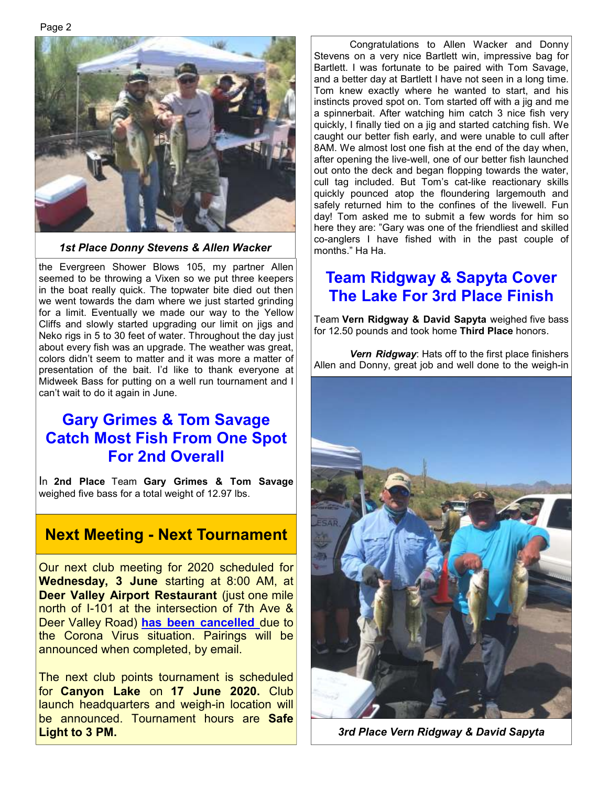

*1st Place Donny Stevens & Allen Wacker* 

the Evergreen Shower Blows 105, my partner Allen seemed to be throwing a Vixen so we put three keepers in the boat really quick. The topwater bite died out then we went towards the dam where we just started grinding for a limit. Eventually we made our way to the Yellow Cliffs and slowly started upgrading our limit on jigs and Neko rigs in 5 to 30 feet of water. Throughout the day just about every fish was an upgrade. The weather was great, colors didn't seem to matter and it was more a matter of presentation of the bait. I'd like to thank everyone at Midweek Bass for putting on a well run tournament and I can't wait to do it again in June.

## **Gary Grimes & Tom Savage Catch Most Fish From One Spot For 2nd Overall**

In **2nd Place** Team **Gary Grimes & Tom Savage**  weighed five bass for a total weight of 12.97 lbs.

## **Next Meeting - Next Tournament**

Our next club meeting for 2020 scheduled for **Wednesday, 3 June** starting at 8:00 AM, at **Deer Valley Airport Restaurant** (just one mile north of I-101 at the intersection of 7th Ave & Deer Valley Road) **has been cancelled** due to the Corona Virus situation. Pairings will be announced when completed, by email.

The next club points tournament is scheduled for **Canyon Lake** on **17 June 2020.** Club launch headquarters and weigh-in location will be announced. Tournament hours are **Safe Light to 3 PM.** 

 Congratulations to Allen Wacker and Donny Stevens on a very nice Bartlett win, impressive bag for Bartlett. I was fortunate to be paired with Tom Savage, and a better day at Bartlett I have not seen in a long time. Tom knew exactly where he wanted to start, and his instincts proved spot on. Tom started off with a jig and me a spinnerbait. After watching him catch 3 nice fish very quickly, I finally tied on a jig and started catching fish. We caught our better fish early, and were unable to cull after 8AM. We almost lost one fish at the end of the day when, after opening the live-well, one of our better fish launched out onto the deck and began flopping towards the water, cull tag included. But Tom's cat-like reactionary skills quickly pounced atop the floundering largemouth and safely returned him to the confines of the livewell. Fun day! Tom asked me to submit a few words for him so here they are: "Gary was one of the friendliest and skilled co-anglers I have fished with in the past couple of months." Ha Ha.

## **Team Ridgway & Sapyta Cover The Lake For 3rd Place Finish**

Team **Vern Ridgway & David Sapyta** weighed five bass for 12.50 pounds and took home **Third Place** honors.

*Vern Ridgway*: Hats off to the first place finishers Allen and Donny, great job and well done to the weigh-in



*3rd Place Vern Ridgway & David Sapyta*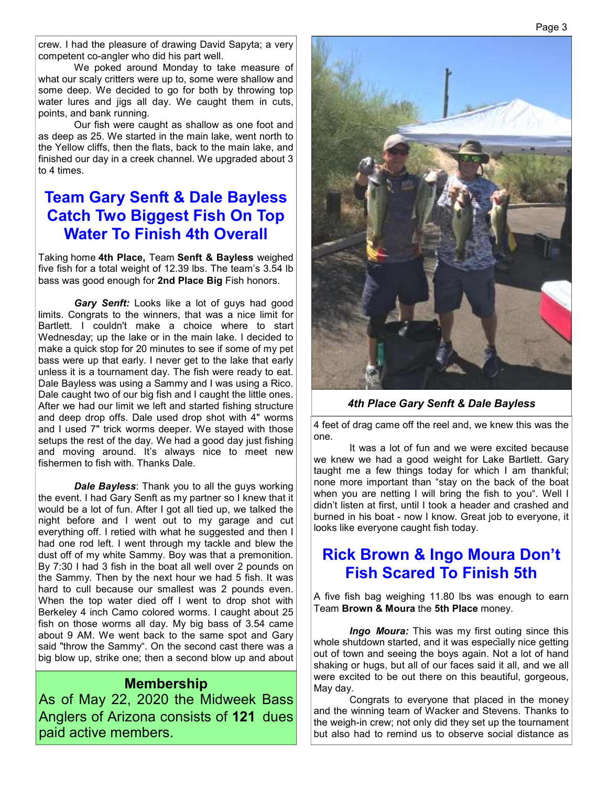crew. I had the pleasure of drawing David Sapyta; a very competent co-angler who did his part well.

 We poked around Monday to take measure of what our scaly critters were up to, some were shallow and some deep. We decided to go for both by throwing top water lures and jigs all day. We caught them in cuts, points, and bank running.

 Our fish were caught as shallow as one foot and as deep as 25. We started in the main lake, went north to the Yellow cliffs, then the flats, back to the main lake, and finished our day in a creek channel. We upgraded about 3 to 4 times.

## **Team Gary Senft & Dale Bayless Catch Two Biggest Fish On Top Water To Finish 4th Overall**

Taking home **4th Place,** Team **Senft & Bayless** weighed five fish for a total weight of 12.39 lbs. The team's 3.54 lb bass was good enough for **2nd Place Big** Fish honors.

 *Gary Senft:* Looks like a lot of guys had good limits. Congrats to the winners, that was a nice limit for Bartlett. I couldn't make a choice where to start Wednesday; up the lake or in the main lake. I decided to make a quick stop for 20 minutes to see if some of my pet bass were up that early. I never get to the lake that early unless it is a tournament day. The fish were ready to eat. Dale Bayless was using a Sammy and I was using a Rico. Dale caught two of our big fish and I caught the little ones. After we had our limit we left and started fishing structure and deep drop offs. Dale used drop shot with 4" worms and I used 7" trick worms deeper. We stayed with those setups the rest of the day. We had a good day just fishing and moving around. It's always nice to meet new fishermen to fish with. Thanks Dale.

 *Dale Bayless*: Thank you to all the guys working the event. I had Gary Senft as my partner so I knew that it would be a lot of fun. After I got all tied up, we talked the night before and I went out to my garage and cut everything off. I retied with what he suggested and then I had one rod left. I went through my tackle and blew the dust off of my white Sammy. Boy was that a premonition. By 7:30 I had 3 fish in the boat all well over 2 pounds on the Sammy. Then by the next hour we had 5 fish. It was hard to cull because our smallest was 2 pounds even. When the top water died off I went to drop shot with Berkeley 4 inch Camo colored worms. I caught about 25 fish on those worms all day. My big bass of 3.54 came about 9 AM. We went back to the same spot and Gary said "throw the Sammy". On the second cast there was a big blow up, strike one; then a second blow up and about

#### **Membership**

As of May 22, 2020 the Midweek Bass Anglers of Arizona consists of **121** dues paid active members.



#### *4th Place Gary Senft & Dale Bayless*

4 feet of drag came off the reel and, we knew this was the one.

 It was a lot of fun and we were excited because we knew we had a good weight for Lake Bartlett. Gary taught me a few things today for which I am thankful; none more important than "stay on the back of the boat when you are netting I will bring the fish to you". Well I didn't listen at first, until I took a header and crashed and burned in his boat - now I know. Great job to everyone, it looks like everyone caught fish today.

### **Rick Brown & Ingo Moura Don't Fish Scared To Finish 5th**

A five fish bag weighing 11.80 lbs was enough to earn Team **Brown & Moura** the **5th Place** money.

*Ingo Moura:* This was my first outing since this whole shutdown started, and it was especially nice getting out of town and seeing the boys again. Not a lot of hand shaking or hugs, but all of our faces said it all, and we all were excited to be out there on this beautiful, gorgeous, May day.

 Congrats to everyone that placed in the money and the winning team of Wacker and Stevens. Thanks to the weigh-in crew; not only did they set up the tournament but also had to remind us to observe social distance as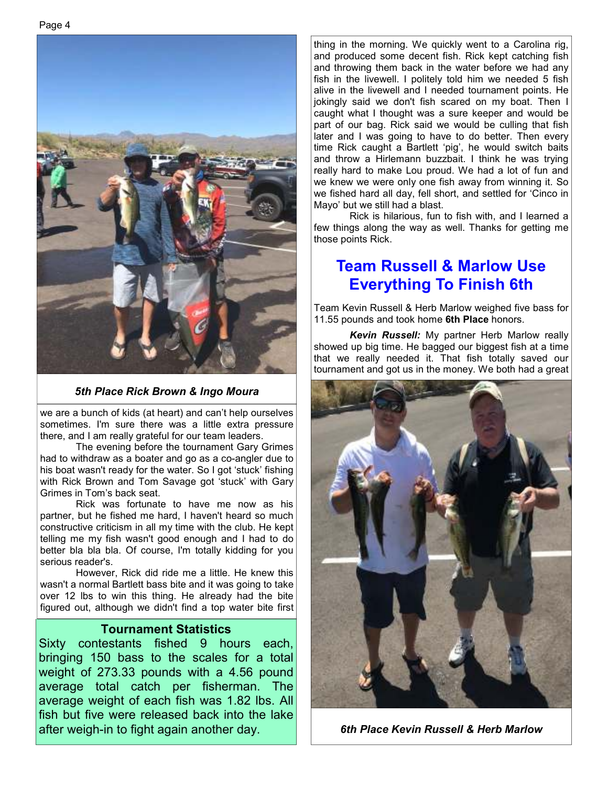

*5th Place Rick Brown & Ingo Moura* 

we are a bunch of kids (at heart) and can't help ourselves sometimes. I'm sure there was a little extra pressure there, and I am really grateful for our team leaders.

 The evening before the tournament Gary Grimes had to withdraw as a boater and go as a co-angler due to his boat wasn't ready for the water. So I got 'stuck' fishing with Rick Brown and Tom Savage got 'stuck' with Gary Grimes in Tom's back seat.

 Rick was fortunate to have me now as his partner, but he fished me hard, I haven't heard so much constructive criticism in all my time with the club. He kept telling me my fish wasn't good enough and I had to do better bla bla bla. Of course, I'm totally kidding for you serious reader's.

 However, Rick did ride me a little. He knew this wasn't a normal Bartlett bass bite and it was going to take over 12 lbs to win this thing. He already had the bite figured out, although we didn't find a top water bite first

#### **Tournament Statistics**

Sixty contestants fished 9 hours each, bringing 150 bass to the scales for a total weight of 273.33 pounds with a 4.56 pound average total catch per fisherman. The average weight of each fish was 1.82 lbs. All fish but five were released back into the lake after weigh-in to fight again another day. *6th Place Kevin Russell & Herb Marlow* 

thing in the morning. We quickly went to a Carolina rig, and produced some decent fish. Rick kept catching fish and throwing them back in the water before we had any fish in the livewell. I politely told him we needed 5 fish alive in the livewell and I needed tournament points. He jokingly said we don't fish scared on my boat. Then I caught what I thought was a sure keeper and would be part of our bag. Rick said we would be culling that fish later and I was going to have to do better. Then every time Rick caught a Bartlett 'pig', he would switch baits and throw a Hirlemann buzzbait. I think he was trying really hard to make Lou proud. We had a lot of fun and we knew we were only one fish away from winning it. So we fished hard all day, fell short, and settled for 'Cinco in Mayo' but we still had a blast.

 Rick is hilarious, fun to fish with, and I learned a few things along the way as well. Thanks for getting me those points Rick.

## **Team Russell & Marlow Use Everything To Finish 6th**

Team Kevin Russell & Herb Marlow weighed five bass for 11.55 pounds and took home **6th Place** honors.

 *Kevin Russell:* My partner Herb Marlow really showed up big time. He bagged our biggest fish at a time that we really needed it. That fish totally saved our tournament and got us in the money. We both had a great

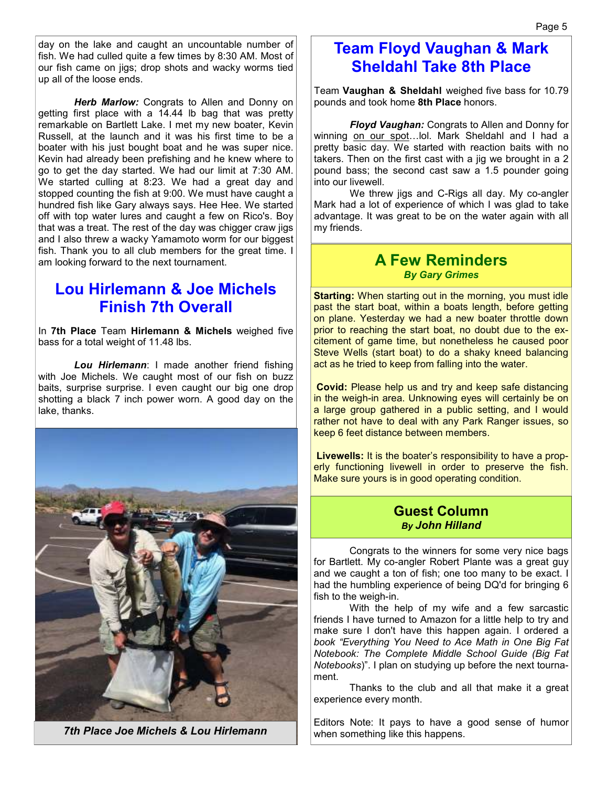day on the lake and caught an uncountable number of fish. We had culled quite a few times by 8:30 AM. Most of our fish came on jigs; drop shots and wacky worms tied up all of the loose ends.

 *Herb Marlow:* Congrats to Allen and Donny on getting first place with a 14.44 lb bag that was pretty remarkable on Bartlett Lake. I met my new boater, Kevin Russell, at the launch and it was his first time to be a boater with his just bought boat and he was super nice. Kevin had already been prefishing and he knew where to go to get the day started. We had our limit at 7:30 AM. We started culling at 8:23. We had a great day and stopped counting the fish at 9:00. We must have caught a hundred fish like Gary always says. Hee Hee. We started off with top water lures and caught a few on Rico's. Boy that was a treat. The rest of the day was chigger craw jigs and I also threw a wacky Yamamoto worm for our biggest fish. Thank you to all club members for the great time. I am looking forward to the next tournament.

## **Lou Hirlemann & Joe Michels Finish 7th Overall**

In **7th Place** Team **Hirlemann & Michels** weighed five bass for a total weight of 11.48 lbs.

 *Lou Hirlemann*: I made another friend fishing with Joe Michels. We caught most of our fish on buzz baits, surprise surprise. I even caught our big one drop shotting a black 7 inch power worn. A good day on the lake, thanks.



*7th Place Joe Michels & Lou Hirlemann*

## **Team Floyd Vaughan & Mark Sheldahl Take 8th Place**

Team **Vaughan & Sheldahl** weighed five bass for 10.79 pounds and took home **8th Place** honors.

*Floyd Vaughan:* Congrats to Allen and Donny for winning on our spot... lol. Mark Sheldahl and I had a pretty basic day. We started with reaction baits with no takers. Then on the first cast with a jig we brought in a 2 pound bass; the second cast saw a 1.5 pounder going into our livewell.

 We threw jigs and C-Rigs all day. My co-angler Mark had a lot of experience of which I was glad to take advantage. It was great to be on the water again with all my friends.

#### **A Few Reminders**  *By Gary Grimes*

**Starting:** When starting out in the morning, you must idle past the start boat, within a boats length, before getting on plane. Yesterday we had a new boater throttle down prior to reaching the start boat, no doubt due to the excitement of game time, but nonetheless he caused poor Steve Wells (start boat) to do a shaky kneed balancing act as he tried to keep from falling into the water.

**Covid:** Please help us and try and keep safe distancing in the weigh-in area. Unknowing eyes will certainly be on a large group gathered in a public setting, and I would rather not have to deal with any Park Ranger issues, so keep 6 feet distance between members.

**Livewells:** It is the boater's responsibility to have a properly functioning livewell in order to preserve the fish. Make sure yours is in good operating condition.

#### **Guest Column**  *By John Hilland*

 Congrats to the winners for some very nice bags for Bartlett. My co-angler Robert Plante was a great guy and we caught a ton of fish; one too many to be exact. I had the humbling experience of being DQ'd for bringing 6 fish to the weigh-in.

 With the help of my wife and a few sarcastic friends I have turned to Amazon for a little help to try and make sure I don't have this happen again. I ordered a *book "Everything You Need to Ace Math in One Big Fat Notebook: The Complete Middle School Guide (Big Fat Notebooks*)". I plan on studying up before the next tournament.

 Thanks to the club and all that make it a great experience every month.

Editors Note: It pays to have a good sense of humor when something like this happens.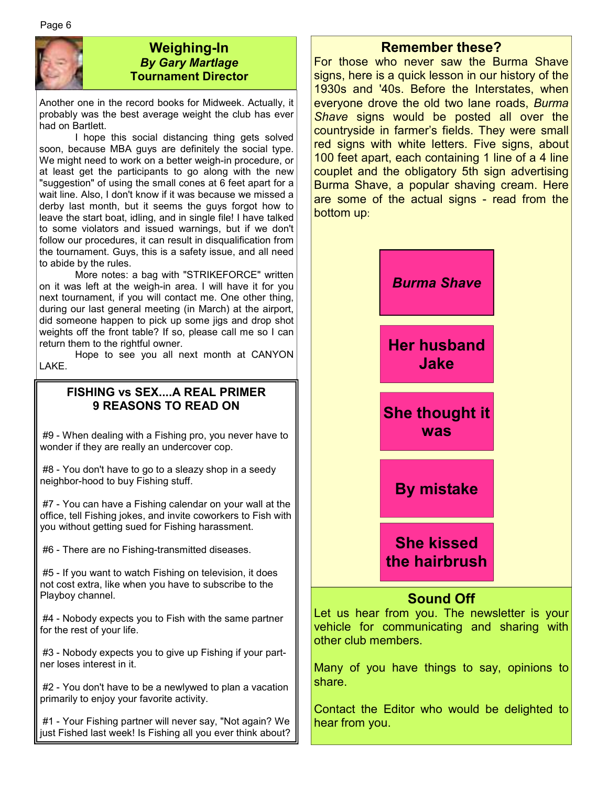

#### **Weighing-In**  *By Gary Martlage*  **Tournament Director**

Another one in the record books for Midweek. Actually, it probably was the best average weight the club has ever had on Bartlett.

 I hope this social distancing thing gets solved soon, because MBA guys are definitely the social type. We might need to work on a better weigh-in procedure, or at least get the participants to go along with the new "suggestion" of using the small cones at 6 feet apart for a wait line. Also, I don't know if it was because we missed a derby last month, but it seems the guys forgot how to leave the start boat, idling, and in single file! I have talked to some violators and issued warnings, but if we don't follow our procedures, it can result in disqualification from the tournament. Guys, this is a safety issue, and all need to abide by the rules.

 More notes: a bag with "STRIKEFORCE" written on it was left at the weigh-in area. I will have it for you next tournament, if you will contact me. One other thing, during our last general meeting (in March) at the airport, did someone happen to pick up some jigs and drop shot weights off the front table? If so, please call me so I can return them to the rightful owner.

 Hope to see you all next month at CANYON LAKE.

#### **FISHING vs SEX....A REAL PRIMER 9 REASONS TO READ ON**

 #9 - When dealing with a Fishing pro, you never have to wonder if they are really an undercover cop.

 #8 - You don't have to go to a sleazy shop in a seedy neighbor-hood to buy Fishing stuff.

 #7 - You can have a Fishing calendar on your wall at the office, tell Fishing jokes, and invite coworkers to Fish with you without getting sued for Fishing harassment.

#6 - There are no Fishing-transmitted diseases.

 #5 - If you want to watch Fishing on television, it does not cost extra, like when you have to subscribe to the Playboy channel.

 #4 - Nobody expects you to Fish with the same partner for the rest of your life.

 #3 - Nobody expects you to give up Fishing if your partner loses interest in it.

 #2 - You don't have to be a newlywed to plan a vacation primarily to enjoy your favorite activity.

 #1 - Your Fishing partner will never say, "Not again? We just Fished last week! Is Fishing all you ever think about?

#### **Remember these?**

For those who never saw the Burma Shave signs, here is a quick lesson in our history of the 1930s and '40s. Before the Interstates, when everyone drove the old two lane roads, *Burma Shave* signs would be posted all over the countryside in farmer's fields. They were small red signs with white letters. Five signs, about 100 feet apart, each containing 1 line of a 4 line couplet and the obligatory 5th sign advertising Burma Shave, a popular shaving cream. Here are some of the actual signs - read from the bottom up:



Many of you have things to say, opinions to share.

Contact the Editor who would be delighted to hear from you.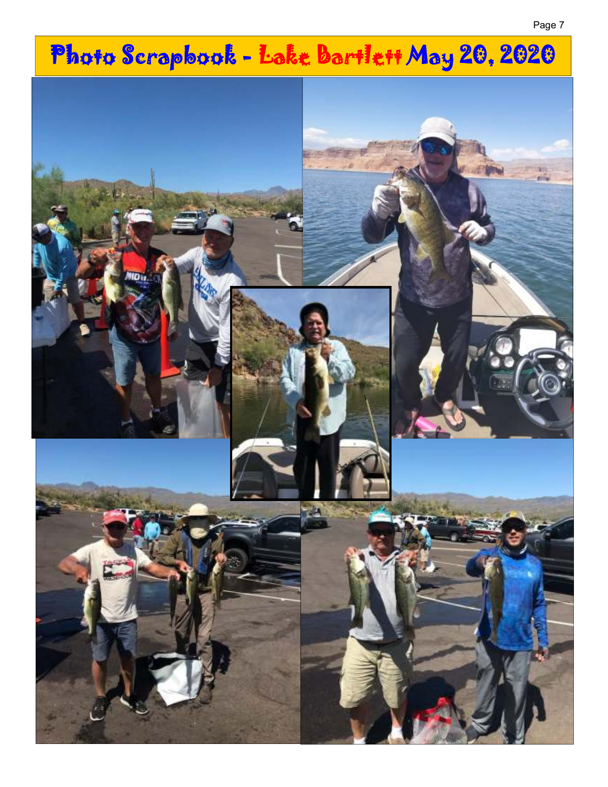# Photo Scrapbook - Lake Bartlett May 20, 2020